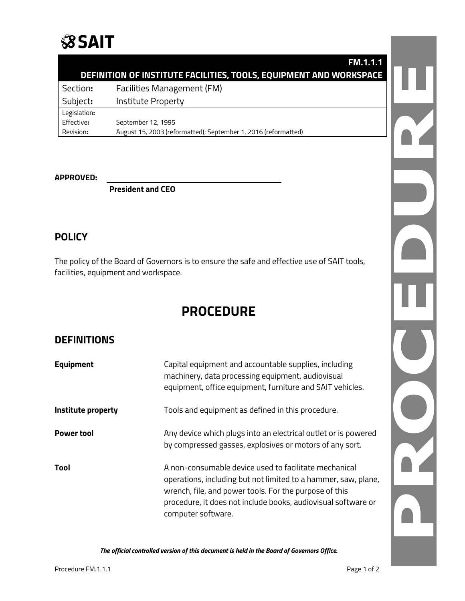

## **DEFINITION OF INSTITUTE FACILITIES, TOOLS, EQUIPMENT AND WORKSPACE**

Section**:** Facilities Management (FM) Subject**:** Institute Property Legislation**:** Effective**:** September 12, 1995 Revision**:** August 15, 2003 (reformatted); September 1, 2016 (reformatted)

**APPROVED:**

**President and CEO**

### **POLICY**

The policy of the Board of Governors is to ensure the safe and effective use of SAIT tools, facilities, equipment and workspace.

# **PROCEDURE**

### **DEFINITIONS**

| <b>Equipment</b>   | Capital equipment and accountable supplies, including<br>machinery, data processing equipment, audiovisual<br>equipment, office equipment, furniture and SAIT vehicles.                                                                                                  |
|--------------------|--------------------------------------------------------------------------------------------------------------------------------------------------------------------------------------------------------------------------------------------------------------------------|
| Institute property | Tools and equipment as defined in this procedure.                                                                                                                                                                                                                        |
| <b>Power tool</b>  | Any device which plugs into an electrical outlet or is powered<br>by compressed gasses, explosives or motors of any sort.                                                                                                                                                |
| Tool               | A non-consumable device used to facilitate mechanical<br>operations, including but not limited to a hammer, saw, plane,<br>wrench, file, and power tools. For the purpose of this<br>procedure, it does not include books, audiovisual software or<br>computer software. |

*The official controlled version of this document is held in the Board of Governors Office.*

 $\mathbf{L}$ 

**FM.1.1.1**